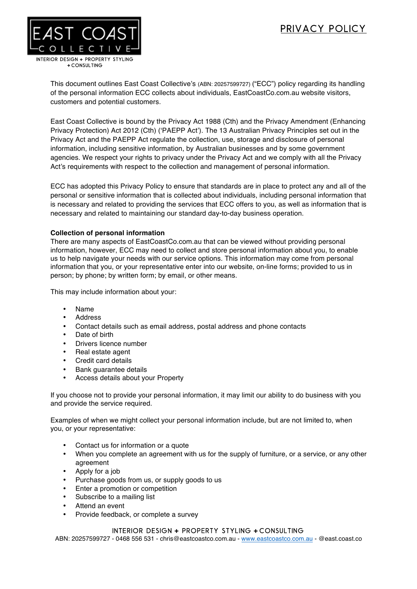# pRIVACY POLICY



This document outlines East Coast Collective's (ABN: 20257599727) ("ECC") policy regarding its handling of the personal information ECC collects about individuals, EastCoastCo.com.au website visitors, customers and potential customers.

East Coast Collective is bound by the Privacy Act 1988 (Cth) and the Privacy Amendment (Enhancing Privacy Protection) Act 2012 (Cth) ('PAEPP Act'). The 13 Australian Privacy Principles set out in the Privacy Act and the PAEPP Act regulate the collection, use, storage and disclosure of personal information, including sensitive information, by Australian businesses and by some government agencies. We respect your rights to privacy under the Privacy Act and we comply with all the Privacy Act's requirements with respect to the collection and management of personal information.

ECC has adopted this Privacy Policy to ensure that standards are in place to protect any and all of the personal or sensitive information that is collected about individuals, including personal information that is necessary and related to providing the services that ECC offers to you, as well as information that is necessary and related to maintaining our standard day-to-day business operation.

# **Collection of personal information**

There are many aspects of EastCoastCo.com.au that can be viewed without providing personal information, however, ECC may need to collect and store personal information about you, to enable us to help navigate your needs with our service options. This information may come from personal information that you, or your representative enter into our website, on-line forms; provided to us in person; by phone; by written form; by email, or other means.

This may include information about your:

- Name
- **Address**
- Contact details such as email address, postal address and phone contacts
- Date of birth
- Drivers licence number
- Real estate agent
- Credit card details
- Bank guarantee details
- Access details about your Property

If you choose not to provide your personal information, it may limit our ability to do business with you and provide the service required.

Examples of when we might collect your personal information include, but are not limited to, when you, or your representative:

- Contact us for information or a quote
- When you complete an agreement with us for the supply of furniture, or a service, or any other agreement
- Apply for a job
- Purchase goods from us, or supply goods to us
- Enter a promotion or competition
- Subscribe to a mailing list
- Attend an event
- Provide feedback, or complete a survey

# INTERIOR DESIGN **+** PROPERTY STYLING **+** CONSULTING

ABN: 20257599727 - 0468 556 531 - chris@eastcoastco.com.au - www.eastcoastco.com.au - @east.coast.co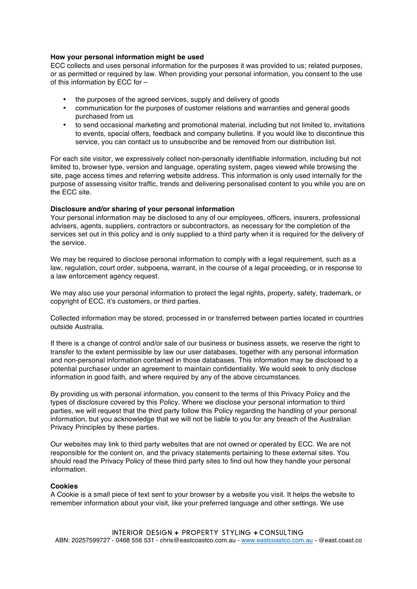#### **How your personal information might be used**

ECC collects and uses personal information for the purposes it was provided to us; related purposes, or as permitted or required by law. When providing your personal information, you consent to the use of this information by ECC for –

- the purposes of the agreed services, supply and delivery of goods
- communication for the purposes of customer relations and warranties and general goods purchased from us
- to send occasional marketing and promotional material, including but not limited to, invitations to events, special offers, feedback and company bulletins. If you would like to discontinue this service, you can contact us to unsubscribe and be removed from our distribution list.

For each site visitor, we expressively collect non-personally identifiable information, including but not limited to, browser type, version and language, operating system, pages viewed while browsing the site, page access times and referring website address. This information is only used internally for the purpose of assessing visitor traffic, trends and delivering personalised content to you while you are on the ECC site.

#### **Disclosure and/or sharing of your personal information**

Your personal information may be disclosed to any of our employees, officers, insurers, professional advisers, agents, suppliers, contractors or subcontractors, as necessary for the completion of the services set out in this policy and is only supplied to a third party when it is required for the delivery of the service.

We may be required to disclose personal information to comply with a legal requirement, such as a law, regulation, court order, subpoena, warrant, in the course of a legal proceeding, or in response to a law enforcement agency request.

We may also use your personal information to protect the legal rights, property, safety, trademark, or copyright of ECC, it's customers, or third parties.

Collected information may be stored, processed in or transferred between parties located in countries outside Australia.

If there is a change of control and/or sale of our business or business assets, we reserve the right to transfer to the extent permissible by law our user databases, together with any personal information and non-personal information contained in those databases. This information may be disclosed to a potential purchaser under an agreement to maintain confidentiality. We would seek to only disclose information in good faith, and where required by any of the above circumstances.

By providing us with personal information, you consent to the terms of this Privacy Policy and the types of disclosure covered by this Policy. Where we disclose your personal information to third parties, we will request that the third party follow this Policy regarding the handling of your personal information, but you acknowledge that we will not be liable to you for any breach of the Australian Privacy Principles by these parties.

Our websites may link to third party websites that are not owned or operated by ECC. We are not responsible for the content on, and the privacy statements pertaining to these external sites. You should read the Privacy Policy of these third party sites to find out how they handle your personal information.

# **Cookies**

A Cookie is a small piece of text sent to your browser by a website you visit. It helps the website to remember information about your visit, like your preferred language and other settings. We use